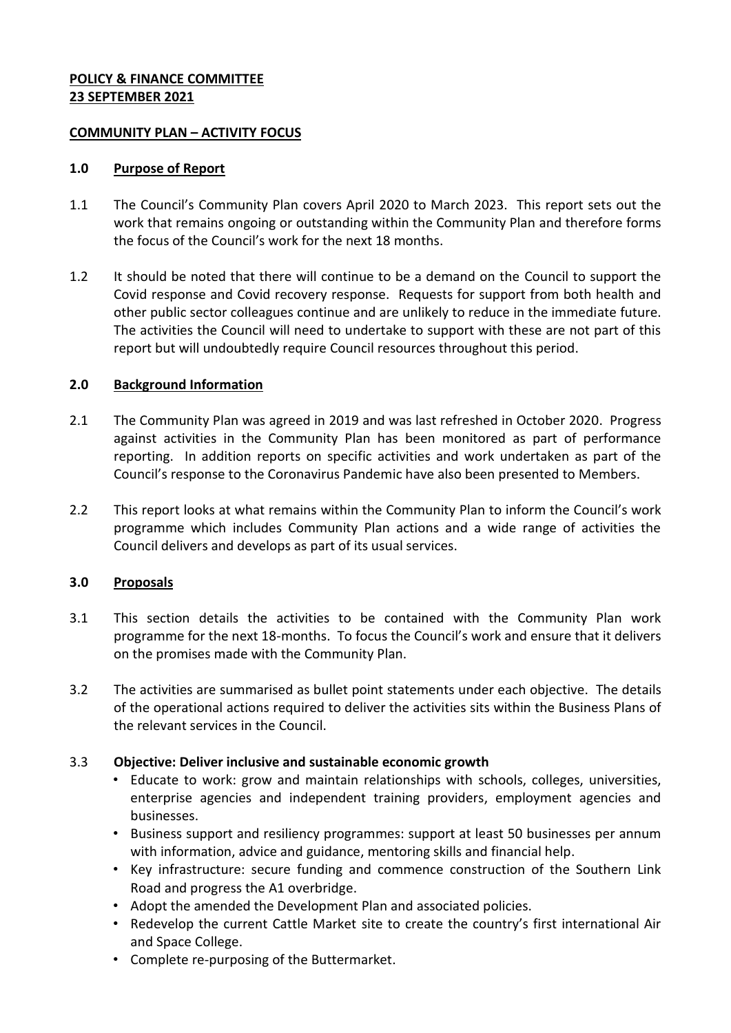### **POLICY & FINANCE COMMITTEE 23 SEPTEMBER 2021**

### **COMMUNITY PLAN – ACTIVITY FOCUS**

### **1.0 Purpose of Report**

- 1.1 The Council's Community Plan covers April 2020 to March 2023. This report sets out the work that remains ongoing or outstanding within the Community Plan and therefore forms the focus of the Council's work for the next 18 months.
- 1.2 It should be noted that there will continue to be a demand on the Council to support the Covid response and Covid recovery response. Requests for support from both health and other public sector colleagues continue and are unlikely to reduce in the immediate future. The activities the Council will need to undertake to support with these are not part of this report but will undoubtedly require Council resources throughout this period.

### **2.0 Background Information**

- 2.1 The Community Plan was agreed in 2019 and was last refreshed in October 2020. Progress against activities in the Community Plan has been monitored as part of performance reporting. In addition reports on specific activities and work undertaken as part of the Council's response to the Coronavirus Pandemic have also been presented to Members.
- 2.2 This report looks at what remains within the Community Plan to inform the Council's work programme which includes Community Plan actions and a wide range of activities the Council delivers and develops as part of its usual services.

### **3.0 Proposals**

- 3.1 This section details the activities to be contained with the Community Plan work programme for the next 18-months. To focus the Council's work and ensure that it delivers on the promises made with the Community Plan.
- 3.2 The activities are summarised as bullet point statements under each objective. The details of the operational actions required to deliver the activities sits within the Business Plans of the relevant services in the Council.

### 3.3 **Objective: Deliver inclusive and sustainable economic growth**

- Educate to work: grow and maintain relationships with schools, colleges, universities, enterprise agencies and independent training providers, employment agencies and businesses.
- Business support and resiliency programmes: support at least 50 businesses per annum with information, advice and guidance, mentoring skills and financial help.
- Key infrastructure: secure funding and commence construction of the Southern Link Road and progress the A1 overbridge.
- Adopt the amended the Development Plan and associated policies.
- Redevelop the current Cattle Market site to create the country's first international Air and Space College.
- Complete re-purposing of the Buttermarket.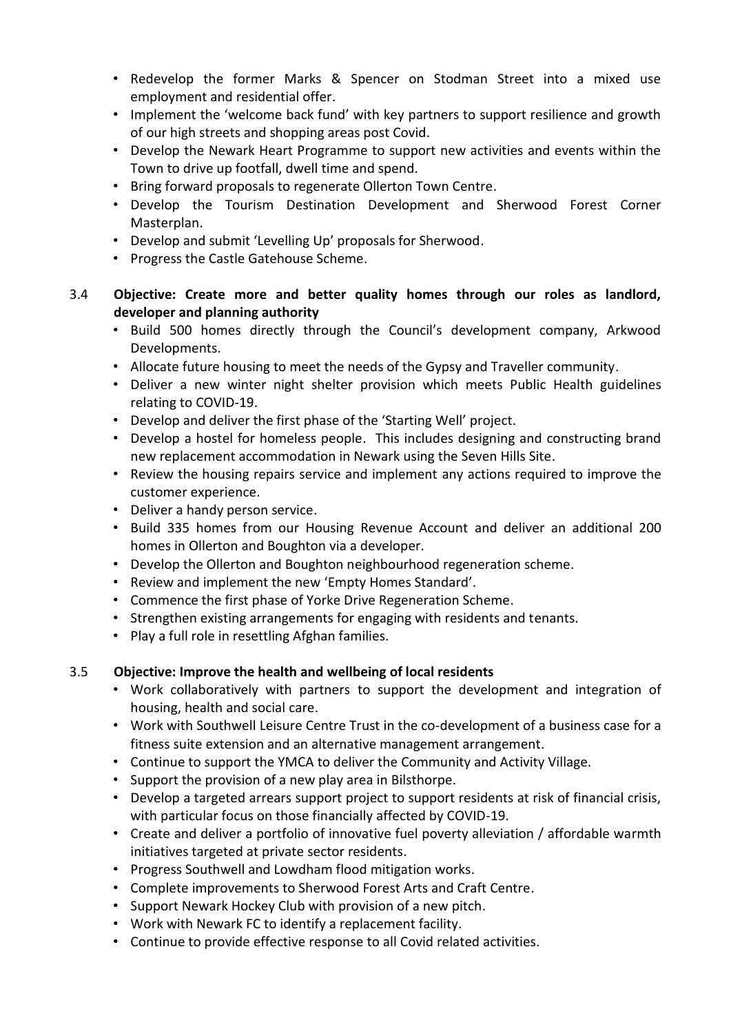- Redevelop the former Marks & Spencer on Stodman Street into a mixed use employment and residential offer.
- Implement the 'welcome back fund' with key partners to support resilience and growth of our high streets and shopping areas post Covid.
- Develop the Newark Heart Programme to support new activities and events within the Town to drive up footfall, dwell time and spend.
- Bring forward proposals to regenerate Ollerton Town Centre.
- Develop the Tourism Destination Development and Sherwood Forest Corner Masterplan.
- Develop and submit 'Levelling Up' proposals for Sherwood.
- Progress the Castle Gatehouse Scheme.

## 3.4 **Objective: Create more and better quality homes through our roles as landlord, developer and planning authority**

- Build 500 homes directly through the Council's development company, Arkwood Developments.
- Allocate future housing to meet the needs of the Gypsy and Traveller community.
- Deliver a new winter night shelter provision which meets Public Health guidelines relating to COVID-19.
- Develop and deliver the first phase of the 'Starting Well' project.
- Develop a hostel for homeless people. This includes designing and constructing brand new replacement accommodation in Newark using the Seven Hills Site.
- Review the housing repairs service and implement any actions required to improve the customer experience.
- Deliver a handy person service.
- Build 335 homes from our Housing Revenue Account and deliver an additional 200 homes in Ollerton and Boughton via a developer.
- Develop the Ollerton and Boughton neighbourhood regeneration scheme.
- Review and implement the new 'Empty Homes Standard'.
- Commence the first phase of Yorke Drive Regeneration Scheme.
- Strengthen existing arrangements for engaging with residents and tenants.
- Play a full role in resettling Afghan families.

### 3.5 **Objective: Improve the health and wellbeing of local residents**

- Work collaboratively with partners to support the development and integration of housing, health and social care.
- Work with Southwell Leisure Centre Trust in the co-development of a business case for a fitness suite extension and an alternative management arrangement.
- Continue to support the YMCA to deliver the Community and Activity Village.
- Support the provision of a new play area in Bilsthorpe.
- Develop a targeted arrears support project to support residents at risk of financial crisis, with particular focus on those financially affected by COVID-19.
- Create and deliver a portfolio of innovative fuel poverty alleviation / affordable warmth initiatives targeted at private sector residents.
- Progress Southwell and Lowdham flood mitigation works.
- Complete improvements to Sherwood Forest Arts and Craft Centre.
- Support Newark Hockey Club with provision of a new pitch.
- Work with Newark FC to identify a replacement facility.
- Continue to provide effective response to all Covid related activities.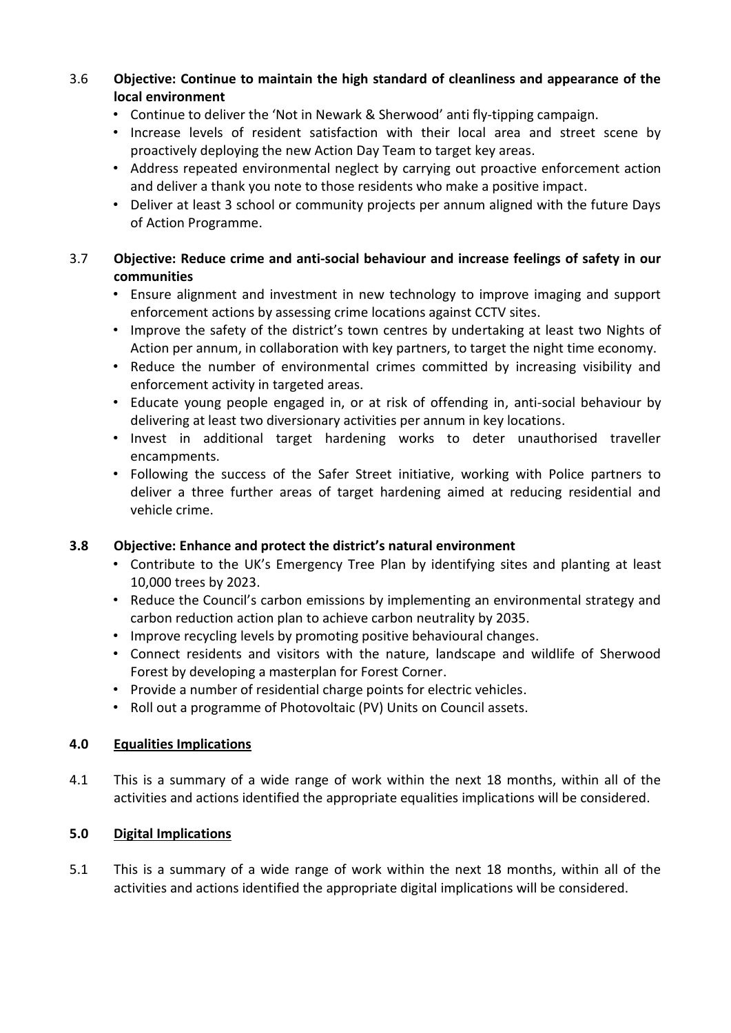## 3.6 **Objective: Continue to maintain the high standard of cleanliness and appearance of the local environment**

- Continue to deliver the 'Not in Newark & Sherwood' anti fly-tipping campaign.
- Increase levels of resident satisfaction with their local area and street scene by proactively deploying the new Action Day Team to target key areas.
- Address repeated environmental neglect by carrying out proactive enforcement action and deliver a thank you note to those residents who make a positive impact.
- Deliver at least 3 school or community projects per annum aligned with the future Days of Action Programme.

## 3.7 **Objective: Reduce crime and anti-social behaviour and increase feelings of safety in our communities**

- Ensure alignment and investment in new technology to improve imaging and support enforcement actions by assessing crime locations against CCTV sites.
- Improve the safety of the district's town centres by undertaking at least two Nights of Action per annum, in collaboration with key partners, to target the night time economy.
- Reduce the number of environmental crimes committed by increasing visibility and enforcement activity in targeted areas.
- Educate young people engaged in, or at risk of offending in, anti-social behaviour by delivering at least two diversionary activities per annum in key locations.
- Invest in additional target hardening works to deter unauthorised traveller encampments.
- Following the success of the Safer Street initiative, working with Police partners to deliver a three further areas of target hardening aimed at reducing residential and vehicle crime.

# **3.8 Objective: Enhance and protect the district's natural environment**

- Contribute to the UK's Emergency Tree Plan by identifying sites and planting at least 10,000 trees by 2023.
- Reduce the Council's carbon emissions by implementing an environmental strategy and carbon reduction action plan to achieve carbon neutrality by 2035.
- Improve recycling levels by promoting positive behavioural changes.
- Connect residents and visitors with the nature, landscape and wildlife of Sherwood Forest by developing a masterplan for Forest Corner.
- Provide a number of residential charge points for electric vehicles.
- Roll out a programme of Photovoltaic (PV) Units on Council assets.

# **4.0 Equalities Implications**

4.1 This is a summary of a wide range of work within the next 18 months, within all of the activities and actions identified the appropriate equalities implications will be considered.

# **5.0 Digital Implications**

5.1 This is a summary of a wide range of work within the next 18 months, within all of the activities and actions identified the appropriate digital implications will be considered.